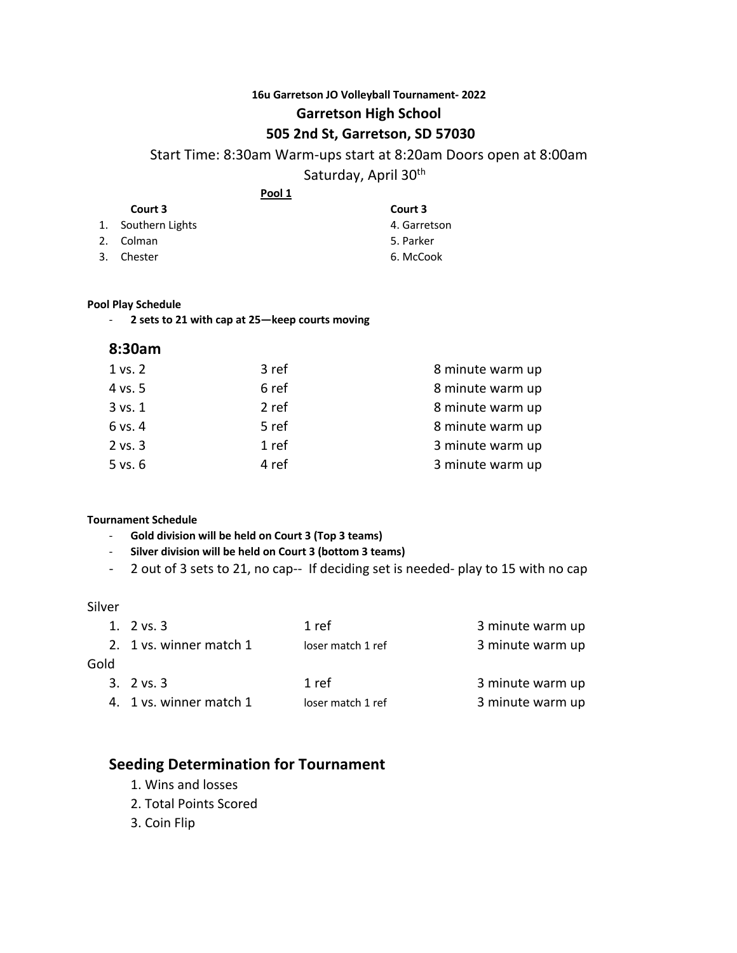### **16u Garretson JO Volleyball Tournament- 2022 Garretson High School**

## **505 2nd St, Garretson, SD 57030**

Start Time: 8:30am Warm-ups start at 8:20am Doors open at 8:00am

Saturday, April 30<sup>th</sup>

**Pool 1**

| Court 3            | Court 3      |
|--------------------|--------------|
| 1. Southern Lights | 4. Garretson |
| 2. Colman          | 5. Parker    |
| 3. Chester         | 6. McCook    |
|                    |              |

#### **Pool Play Schedule**

- **2 sets to 21 with cap at 25—keep courts moving**

#### **8:30am**

| 3 ref | 8 minute warm up |
|-------|------------------|
| 6 ref | 8 minute warm up |
| 2 ref | 8 minute warm up |
| 5 ref | 8 minute warm up |
| 1 ref | 3 minute warm up |
| 4 ref | 3 minute warm up |
|       |                  |

#### **Tournament Schedule**

- **Gold division will be held on Court 3 (Top 3 teams)**
- **Silver division will be held on Court 3 (bottom 3 teams)**
- 2 out of 3 sets to 21, no cap-- If deciding set is needed- play to 15 with no cap

#### Silver

| 1. $2 \text{ vs. } 3$   | 1 ref             | 3 minute warm up |
|-------------------------|-------------------|------------------|
| 2. 1 vs. winner match 1 | loser match 1 ref | 3 minute warm up |
|                         |                   |                  |
| 3. $2 \text{ vs. } 3$   | 1 ref             | 3 minute warm up |
| 4. 1 vs. winner match 1 | loser match 1 ref | 3 minute warm up |
|                         |                   |                  |

# **Seeding Determination for Tournament**

- 1. Wins and losses
- 2. Total Points Scored
- 3. Coin Flip